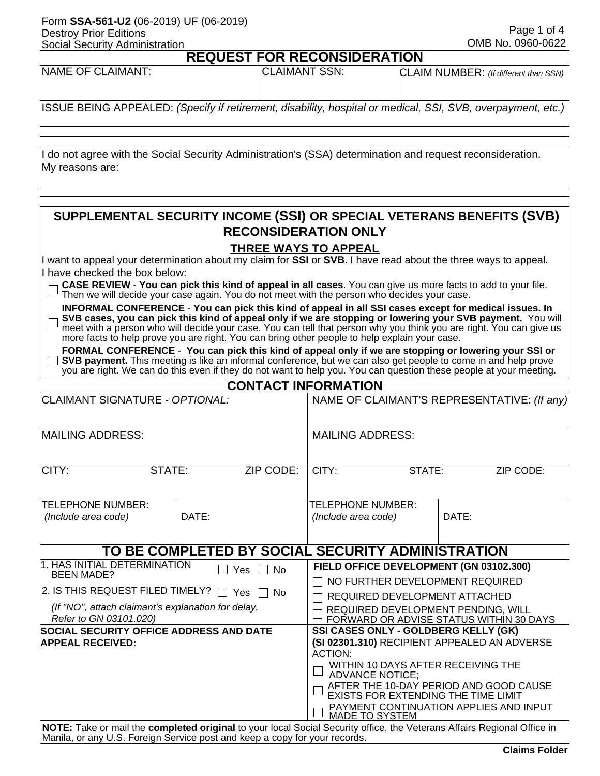#### Form **SSA-561-U2** (06-2019) UF (06-2019) Destroy Prior Editions Social Security Administration

**REQUEST FOR RECONSIDERATION** NAME OF CLAIMANT:  $|$  CLAIMANT SSN:  $|$  CLAIM NUMBER: *(If different than SSN)* 

ISSUE BEING APPEALED: *(Specify if retirement, disability, hospital or medical, SSI, SVB, overpayment, etc.)*

I do not agree with the Social Security Administration's (SSA) determination and request reconsideration. My reasons are:

## **SUPPLEMENTAL SECURITY INCOME (SSI) OR SPECIAL VETERANS BENEFITS (SVB) RECONSIDERATION ONLY**

#### **THREE WAYS TO APPEAL**

I want to appeal your determination about my claim for **SSI** or **SVB**. I have read about the three ways to appeal. I have checked the box below:

| $\Box$ CASE REVIEW - You can pick this kind of appeal in all cases. You can give us more facts to add to your file. |  |  |
|---------------------------------------------------------------------------------------------------------------------|--|--|
| $\Box$ Then we will decide your case again. You do not meet with the person who decides your case.                  |  |  |

**INFORMAL CONFERENCE** - **You can pick this kind of appeal in all SSI cases except for medical issues. In SVB cases, you can pick this kind of appeal only if we are stopping or lowering your SVB payment.** You will  $\Box$ meet with a person who will decide your case. You can tell that person why you think you are right. You can give us more facts to help prove you are right. You can bring other people to help explain your case.

**FORMAL CONFERENCE** - **You can pick this kind of appeal only if we are stopping or lowering your SSI or SVB payment.** This meeting is like an informal conference, but we can also get people to come in and help prove you are right. We can do this even if they do not want to help you. You can question these people at your meeting.

| <b>CONTACT INFORMATION</b> |  |  |  |  |  |  |  |  |
|----------------------------|--|--|--|--|--|--|--|--|
|                            |  |  |  |  |  |  |  |  |

| <b>CLAIMANT SIGNATURE - OPTIONAL:</b>                                                                                                                                                      |       |                                                   | NAME OF CLAIMANT'S REPRESENTATIVE: (If any)                                                                                                                                                                                                                                                                         |  |       |  |  |
|--------------------------------------------------------------------------------------------------------------------------------------------------------------------------------------------|-------|---------------------------------------------------|---------------------------------------------------------------------------------------------------------------------------------------------------------------------------------------------------------------------------------------------------------------------------------------------------------------------|--|-------|--|--|
| <b>MAILING ADDRESS:</b>                                                                                                                                                                    |       |                                                   | <b>MAILING ADDRESS:</b>                                                                                                                                                                                                                                                                                             |  |       |  |  |
| CITY:                                                                                                                                                                                      | CITY: | STATE:<br>ZIP CODE:                               |                                                                                                                                                                                                                                                                                                                     |  |       |  |  |
| TELEPHONE NUMBER:<br>(Include area code)                                                                                                                                                   | DATE: |                                                   | TELEPHONE NUMBER:<br>(Include area code)                                                                                                                                                                                                                                                                            |  | DATE: |  |  |
|                                                                                                                                                                                            |       | TO BE COMPLETED BY SOCIAL SECURITY ADMINISTRATION |                                                                                                                                                                                                                                                                                                                     |  |       |  |  |
| 1. HAS INITIAL DETERMINATION<br><b>BEEN MADE?</b><br>2. IS THIS REQUEST FILED TIMELY? $\Box$ Yes $\Box$ No<br>(If "NO", attach claimant's explanation for delay.<br>Refer to GN 03101.020) |       | Yes     No                                        | FIELD OFFICE DEVELOPMENT (GN 03102.300)<br>$\Box$ NO FURTHER DEVELOPMENT REQUIRED<br>REQUIRED DEVELOPMENT ATTACHED<br>REQUIRED DEVELOPMENT PENDING, WILL<br>FORWARD OR ADVISE STATUS WITHIN 30 DAYS                                                                                                                 |  |       |  |  |
| SOCIAL SECURITY OFFICE ADDRESS AND DATE<br><b>APPEAL RECEIVED:</b>                                                                                                                         |       |                                                   | SSI CASES ONLY - GOLDBERG KELLY (GK)<br>(SI 02301.310) RECIPIENT APPEALED AN ADVERSE<br><b>ACTION:</b><br>WITHIN 10 DAYS AFTER RECEIVING THE<br><b>ADVANCE NOTICE;</b><br>AFTER THE 10-DAY PERIOD AND GOOD CAUSE<br>EXISTS FOR EXTENDING THE TIME LIMIT<br>PAYMENT CONTINUATION APPLIES AND INPUT<br>MADE TO SYSTEM |  |       |  |  |

**NOTE:** Take or mail the **completed original** to your local Social Security office, the Veterans Affairs Regional Office in Manila, or any U.S. Foreign Service post and keep a copy for your records.

 Page 1 of 4 OMB No. 0960-0622

|  |  | <b>NNCINED ATION</b> |  |  |  |
|--|--|----------------------|--|--|--|

|                                | REQUESI F( |  |
|--------------------------------|------------|--|
| NAME OF CI AIMANT <sup>.</sup> |            |  |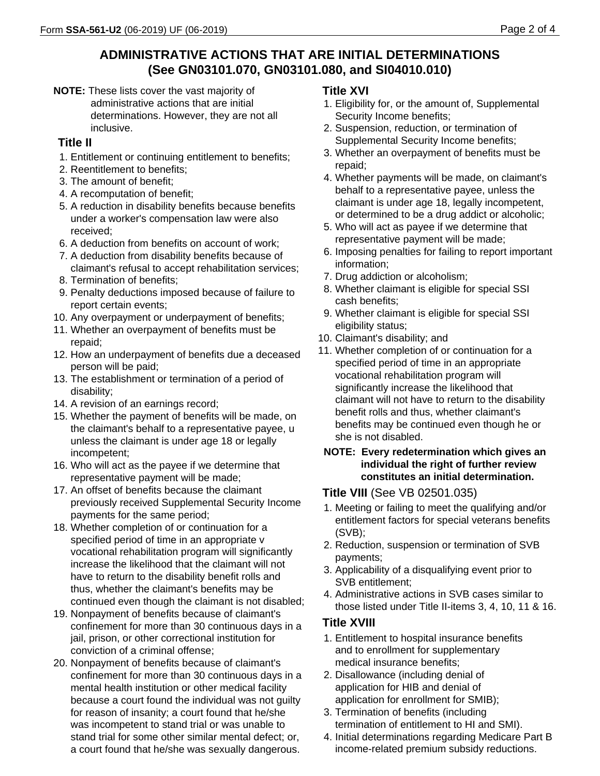# **ADMINISTRATIVE ACTIONS THAT ARE INITIAL DETERMINATIONS (See GN03101.070, GN03101.080, and SI04010.010)**

**NOTE:** These lists cover the vast majority of administrative actions that are initial determinations. However, they are not all inclusive.

## **Title II**

- 1. Entitlement or continuing entitlement to benefits;
- 2. Reentitlement to benefits;
- 3. The amount of benefit;
- 4. A recomputation of benefit;
- 5. A reduction in disability benefits because benefits under a worker's compensation law were also received;
- 6. A deduction from benefits on account of work;
- 7. A deduction from disability benefits because of claimant's refusal to accept rehabilitation services;
- 8. Termination of benefits;
- 9. Penalty deductions imposed because of failure to report certain events;
- 10. Any overpayment or underpayment of benefits;
- 11. Whether an overpayment of benefits must be repaid;
- 12. How an underpayment of benefits due a deceased person will be paid;
- 13. The establishment or termination of a period of disability;
- 14. A revision of an earnings record;
- 15. Whether the payment of benefits will be made, on the claimant's behalf to a representative payee, u unless the claimant is under age 18 or legally incompetent;
- 16. Who will act as the payee if we determine that representative payment will be made;
- 17. An offset of benefits because the claimant previously received Supplemental Security Income payments for the same period;
- 18. Whether completion of or continuation for a specified period of time in an appropriate v vocational rehabilitation program will significantly increase the likelihood that the claimant will not have to return to the disability benefit rolls and thus, whether the claimant's benefits may be continued even though the claimant is not disabled;
- 19. Nonpayment of benefits because of claimant's confinement for more than 30 continuous days in a jail, prison, or other correctional institution for conviction of a criminal offense;
- 20. Nonpayment of benefits because of claimant's confinement for more than 30 continuous days in a mental health institution or other medical facility because a court found the individual was not guilty for reason of insanity; a court found that he/she was incompetent to stand trial or was unable to stand trial for some other similar mental defect; or, a court found that he/she was sexually dangerous.

### **Title XVI**

- 1. Eligibility for, or the amount of, Supplemental Security Income benefits;
- 2. Suspension, reduction, or termination of Supplemental Security Income benefits;
- 3. Whether an overpayment of benefits must be repaid;
- 4. Whether payments will be made, on claimant's behalf to a representative payee, unless the claimant is under age 18, legally incompetent, or determined to be a drug addict or alcoholic;
- 5. Who will act as payee if we determine that representative payment will be made;
- 6. Imposing penalties for failing to report important information;
- 7. Drug addiction or alcoholism;
- 8. Whether claimant is eligible for special SSI cash benefits;
- 9. Whether claimant is eligible for special SSI eligibility status;
- 10. Claimant's disability; and
- 11. Whether completion of or continuation for a specified period of time in an appropriate vocational rehabilitation program will significantly increase the likelihood that claimant will not have to return to the disability benefit rolls and thus, whether claimant's benefits may be continued even though he or she is not disabled.

#### **NOTE: Every redetermination which gives an individual the right of further review constitutes an initial determination.**

## **Title VIII** (See VB 02501.035)

- 1. Meeting or failing to meet the qualifying and/or entitlement factors for special veterans benefits (SVB);
- 2. Reduction, suspension or termination of SVB payments;
- 3. Applicability of a disqualifying event prior to SVB entitlement;
- 4. Administrative actions in SVB cases similar to those listed under Title II-items 3, 4, 10, 11 & 16.

## **Title XVIII**

- 1. Entitlement to hospital insurance benefits and to enrollment for supplementary medical insurance benefits;
- 2. Disallowance (including denial of application for HIB and denial of application for enrollment for SMIB);
- 3. Termination of benefits (including termination of entitlement to HI and SMI).
- 4. Initial determinations regarding Medicare Part B income-related premium subsidy reductions.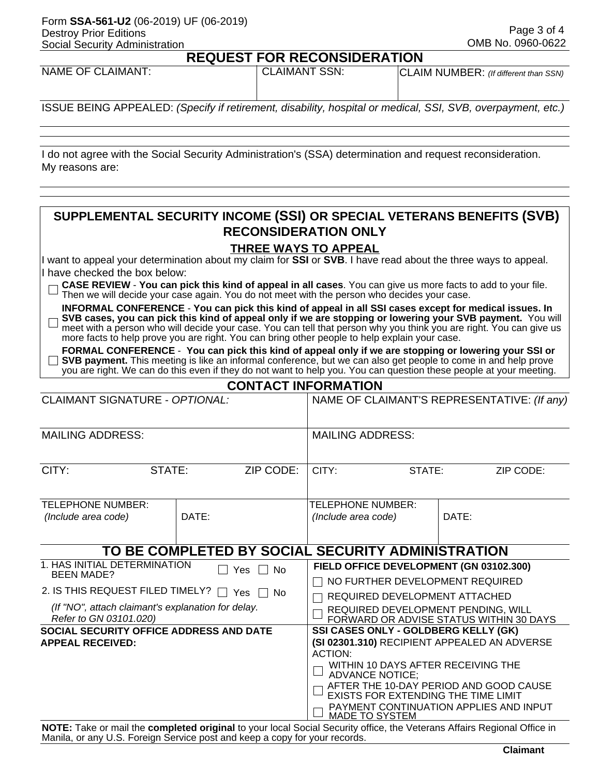#### Form **SSA-561-U2** (06-2019) UF (06-2019) Destroy Prior Editions Social Security Administration

П

 Page 3 of 4 OMB No. 0960-0622

|  |  |  | <b>REQUEST FOR RECONSIDERATION</b> |  |
|--|--|--|------------------------------------|--|
|  |  |  |                                    |  |

| <b>NAME OF CLAIMANT:</b> | <b>CLAIMANT SSN:</b> | CLAIM NUMBER: (If different than SSN) |
|--------------------------|----------------------|---------------------------------------|
|                          |                      |                                       |

ISSUE BEING APPEALED: *(Specify if retirement, disability, hospital or medical, SSI, SVB, overpayment, etc.)*

I do not agree with the Social Security Administration's (SSA) determination and request reconsideration. My reasons are:

## **SUPPLEMENTAL SECURITY INCOME (SSI) OR SPECIAL VETERANS BENEFITS (SVB) RECONSIDERATION ONLY**

### **THREE WAYS TO APPEAL**

I want to appeal your determination about my claim for **SSI** or **SVB**. I have read about the three ways to appeal. I have checked the box below:

| $\Box$ CASE REVIEW - You can pick this kind of appeal in all cases. You can give us more facts to add to your file. |  |
|---------------------------------------------------------------------------------------------------------------------|--|
| $\sqcup$ Then we will decide your case again. You do not meet with the person who decides your case.                |  |

**INFORMAL CONFERENCE** - **You can pick this kind of appeal in all SSI cases except for medical issues. In SVB cases, you can pick this kind of appeal only if we are stopping or lowering your SVB payment.** You will П meet with a person who will decide your case. You can tell that person why you think you are right. You can give us more facts to help prove you are right. You can bring other people to help explain your case.

**FORMAL CONFERENCE** - **You can pick this kind of appeal only if we are stopping or lowering your SSI or SVB payment.** This meeting is like an informal conference, but we can also get people to come in and help prove you are right. We can do this even if they do not want to help you. You can question these people at your meeting.

|  | <b>CONTACT INFORMATION</b> |  |
|--|----------------------------|--|
|  |                            |  |

| <b>CLAIMANT SIGNATURE - OPTIONAL:</b>                                                                                                                                                      |               | NAME OF CLAIMANT'S REPRESENTATIVE: (If any)                                                                                                                                                                                                                                                                                |                                                   |                                          |  |       |  |
|--------------------------------------------------------------------------------------------------------------------------------------------------------------------------------------------|---------------|----------------------------------------------------------------------------------------------------------------------------------------------------------------------------------------------------------------------------------------------------------------------------------------------------------------------------|---------------------------------------------------|------------------------------------------|--|-------|--|
| <b>MAILING ADDRESS:</b>                                                                                                                                                                    |               | <b>MAILING ADDRESS:</b>                                                                                                                                                                                                                                                                                                    |                                                   |                                          |  |       |  |
| CITY:<br>ZIP CODE:<br>STATE:                                                                                                                                                               |               |                                                                                                                                                                                                                                                                                                                            | CITY:                                             | STATE:<br>ZIP CODE:                      |  |       |  |
| <b>TELEPHONE NUMBER:</b><br>(Include area code)                                                                                                                                            |               | DATE:                                                                                                                                                                                                                                                                                                                      |                                                   | TELEPHONE NUMBER:<br>(Include area code) |  | DATE: |  |
|                                                                                                                                                                                            |               |                                                                                                                                                                                                                                                                                                                            | TO BE COMPLETED BY SOCIAL SECURITY ADMINISTRATION |                                          |  |       |  |
| 1. HAS INITIAL DETERMINATION<br><b>BEEN MADE?</b><br>2. IS THIS REQUEST FILED TIMELY? $\Box$ Yes $\Box$ No<br>(If "NO", attach claimant's explanation for delay.<br>Refer to GN 03101.020) | Yes $\Box$ No | FIELD OFFICE DEVELOPMENT (GN 03102.300)<br>NO FURTHER DEVELOPMENT REQUIRED<br>REQUIRED DEVELOPMENT ATTACHED<br>REQUIRED DEVELOPMENT PENDING, WILL<br>FORWARD OR ADVISE STATUS WITHIN 30 DAYS                                                                                                                               |                                                   |                                          |  |       |  |
| SOCIAL SECURITY OFFICE ADDRESS AND DATE<br><b>APPEAL RECEIVED:</b>                                                                                                                         |               | SSI CASES ONLY - GOLDBERG KELLY (GK)<br>(SI 02301.310) RECIPIENT APPEALED AN ADVERSE<br><b>ACTION:</b><br>WITHIN 10 DAYS AFTER RECEIVING THE<br><b>ADVANCE NOTICE;</b><br>AFTER THE 10-DAY PERIOD AND GOOD CAUSE<br>EXISTS FOR EXTENDING THE TIME LIMIT<br>PAYMENT CONTINUATION APPLIES AND INPUT<br><b>MADE TO SYSTEM</b> |                                                   |                                          |  |       |  |

**NOTE:** Take or mail the **completed original** to your local Social Security office, the Veterans Affairs Regional Office in Manila, or any U.S. Foreign Service post and keep a copy for your records.